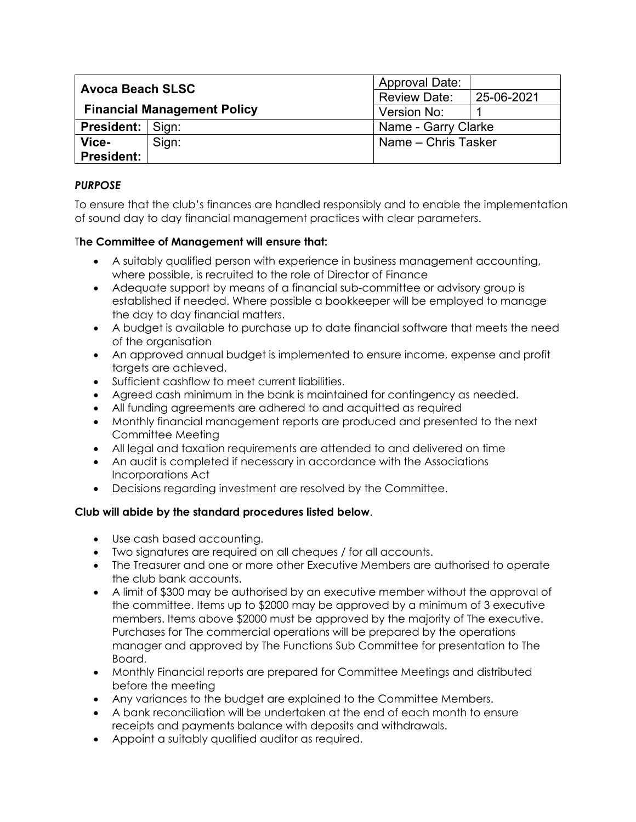| <b>Avoca Beach SLSC</b><br><b>Financial Management Policy</b> |       | <b>Approval Date:</b> |            |
|---------------------------------------------------------------|-------|-----------------------|------------|
|                                                               |       | <b>Review Date:</b>   | 25-06-2021 |
|                                                               |       | Version No:           |            |
| <b>President:</b>   Sign:                                     |       | Name - Garry Clarke   |            |
| Vice-                                                         | Sign: | Name – Chris Tasker   |            |
| President:                                                    |       |                       |            |

## *PURPOSE*

To ensure that the club's finances are handled responsibly and to enable the implementation of sound day to day financial management practices with clear parameters.

## T**he Committee of Management will ensure that:**

- A suitably qualified person with experience in business management accounting, where possible, is recruited to the role of Director of Finance
- Adequate support by means of a financial sub-committee or advisory group is established if needed. Where possible a bookkeeper will be employed to manage the day to day financial matters.
- A budget is available to purchase up to date financial software that meets the need of the organisation
- An approved annual budget is implemented to ensure income, expense and profit targets are achieved.
- Sufficient cashflow to meet current liabilities.
- Agreed cash minimum in the bank is maintained for contingency as needed.
- All funding agreements are adhered to and acquitted as required
- Monthly financial management reports are produced and presented to the next Committee Meeting
- All legal and taxation requirements are attended to and delivered on time
- An audit is completed if necessary in accordance with the Associations Incorporations Act
- Decisions regarding investment are resolved by the Committee.

## **Club will abide by the standard procedures listed below**.

- Use cash based accounting.
- Two signatures are required on all cheques / for all accounts.
- The Treasurer and one or more other Executive Members are authorised to operate the club bank accounts.
- A limit of \$300 may be authorised by an executive member without the approval of the committee. Items up to \$2000 may be approved by a minimum of 3 executive members. Items above \$2000 must be approved by the majority of The executive. Purchases for The commercial operations will be prepared by the operations manager and approved by The Functions Sub Committee for presentation to The Board.
- Monthly Financial reports are prepared for Committee Meetings and distributed before the meeting
- Any variances to the budget are explained to the Committee Members.
- A bank reconciliation will be undertaken at the end of each month to ensure receipts and payments balance with deposits and withdrawals.
- Appoint a suitably qualified auditor as required.